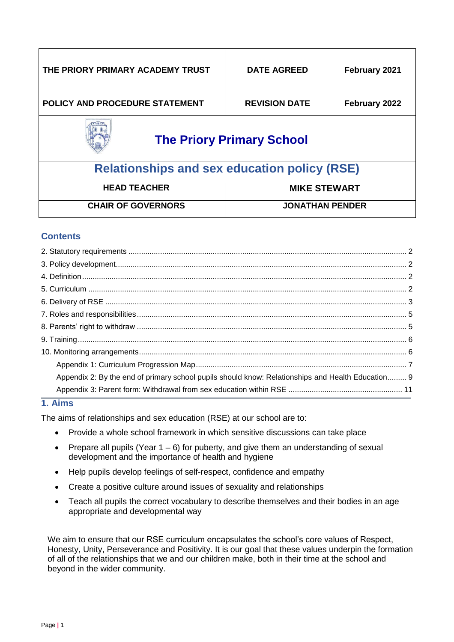| THE PRIORY PRIMARY ACADEMY TRUST                    | <b>DATE AGREED</b>   | February 2021 |  |  |
|-----------------------------------------------------|----------------------|---------------|--|--|
| POLICY AND PROCEDURE STATEMENT                      | <b>REVISION DATE</b> | February 2022 |  |  |
| <b>The Priory Primary School</b>                    |                      |               |  |  |
| <b>Relationships and sex education policy (RSE)</b> |                      |               |  |  |

| <b>HEAD TEACHER</b>       | <b>MIKE STEWART</b>    |
|---------------------------|------------------------|
| <b>CHAIR OF GOVERNORS</b> | <b>JONATHAN PENDER</b> |

# **Contents**

| Appendix 2: By the end of primary school pupils should know: Relationships and Health Education 9 |
|---------------------------------------------------------------------------------------------------|
|                                                                                                   |
|                                                                                                   |

# **1. Aims**

The aims of relationships and sex education (RSE) at our school are to:

- Provide a whole school framework in which sensitive discussions can take place
- Prepare all pupils (Year  $1 6$ ) for puberty, and give them an understanding of sexual development and the importance of health and hygiene
- Help pupils develop feelings of self-respect, confidence and empathy
- Create a positive culture around issues of sexuality and relationships
- Teach all pupils the correct vocabulary to describe themselves and their bodies in an age appropriate and developmental way

We aim to ensure that our RSE curriculum encapsulates the school's core values of Respect, Honesty, Unity, Perseverance and Positivity. It is our goal that these values underpin the formation of all of the relationships that we and our children make, both in their time at the school and beyond in the wider community.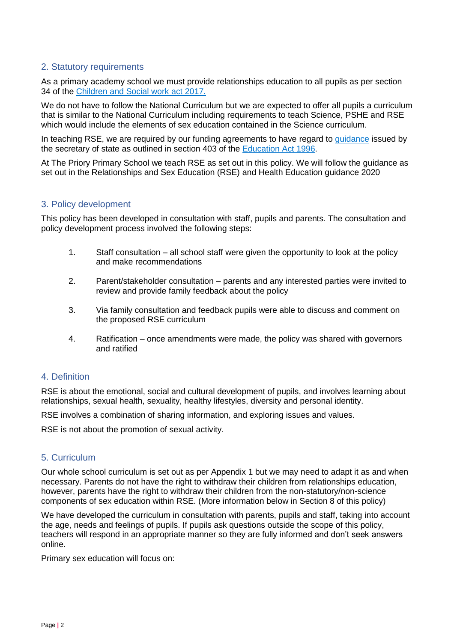# <span id="page-1-0"></span>2. Statutory requirements

As a primary academy school we must provide relationships education to all pupils as per section 34 of the [Children and Social work act 2017.](http://www.legislation.gov.uk/ukpga/2017/16/section/34/enacted)

We do not have to follow the National Curriculum but we are expected to offer all pupils a curriculum that is similar to the National Curriculum including requirements to teach Science, PSHE and RSE which would include the elements of sex education contained in the Science curriculum.

In teaching RSE, we are required by our funding agreements to have regard to quidance issued by the secretary of state as outlined in section 403 of the [Education Act 1996.](http://www.legislation.gov.uk/ukpga/1996/56/contents)

At The Priory Primary School we teach RSE as set out in this policy. We will follow the guidance as set out in the Relationships and Sex Education (RSE) and Health Education guidance 2020

# <span id="page-1-1"></span>3. Policy development

This policy has been developed in consultation with staff, pupils and parents. The consultation and policy development process involved the following steps:

- 1. Staff consultation all school staff were given the opportunity to look at the policy and make recommendations
- 2. Parent/stakeholder consultation parents and any interested parties were invited to review and provide family feedback about the policy
- 3. Via family consultation and feedback pupils were able to discuss and comment on the proposed RSE curriculum
- 4. Ratification once amendments were made, the policy was shared with governors and ratified

#### <span id="page-1-2"></span>4. Definition

RSE is about the emotional, social and cultural development of pupils, and involves learning about relationships, sexual health, sexuality, healthy lifestyles, diversity and personal identity.

RSE involves a combination of sharing information, and exploring issues and values.

RSE is not about the promotion of sexual activity.

#### <span id="page-1-3"></span>5. Curriculum

Our whole school curriculum is set out as per Appendix 1 but we may need to adapt it as and when necessary. Parents do not have the right to withdraw their children from relationships education, however, parents have the right to withdraw their children from the non-statutory/non-science components of sex education within RSE. (More information below in Section 8 of this policy)

We have developed the curriculum in consultation with parents, pupils and staff, taking into account the age, needs and feelings of pupils. If pupils ask questions outside the scope of this policy, teachers will respond in an appropriate manner so they are fully informed and don't seek answers online.

Primary sex education will focus on: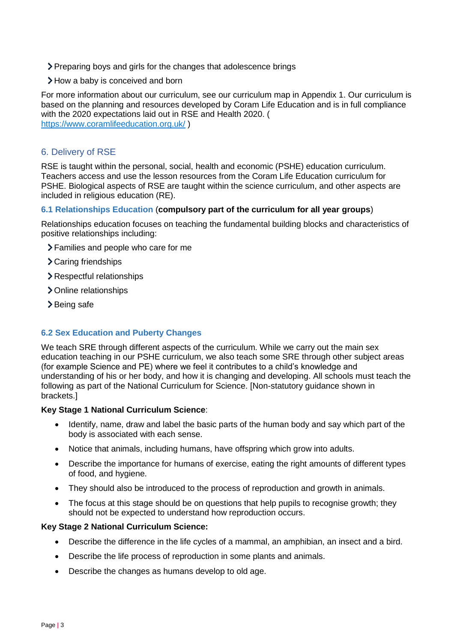- Preparing boys and girls for the changes that adolescence brings
- > How a baby is conceived and born

For more information about our curriculum, see our curriculum map in Appendix 1. Our curriculum is based on the planning and resources developed by Coram Life Education and is in full compliance with the 2020 expectations laid out in RSE and Health 2020. ( <https://www.coramlifeeducation.org.uk/> )

<span id="page-2-0"></span>6. Delivery of RSE

RSE is taught within the personal, social, health and economic (PSHE) education curriculum. Teachers access and use the lesson resources from the Coram Life Education curriculum for PSHE. Biological aspects of RSE are taught within the science curriculum, and other aspects are included in religious education (RE).

#### **6.1 Relationships Education** (**compulsory part of the curriculum for all year groups**)

Relationships education focuses on teaching the fundamental building blocks and characteristics of positive relationships including:

- Families and people who care for me
- > Caring friendships
- Respectful relationships
- > Online relationships
- >Being safe

#### **6.2 Sex Education and Puberty Changes**

We teach SRE through different aspects of the curriculum. While we carry out the main sex education teaching in our PSHE curriculum, we also teach some SRE through other subject areas (for example Science and PE) where we feel it contributes to a child's knowledge and understanding of his or her body, and how it is changing and developing. All schools must teach the following as part of the National Curriculum for Science. [Non-statutory guidance shown in brackets.]

#### **Key Stage 1 National Curriculum Science**:

- Identify, name, draw and label the basic parts of the human body and say which part of the body is associated with each sense.
- Notice that animals, including humans, have offspring which grow into adults.
- Describe the importance for humans of exercise, eating the right amounts of different types of food, and hygiene.
- They should also be introduced to the process of reproduction and growth in animals.
- The focus at this stage should be on questions that help pupils to recognise growth; they should not be expected to understand how reproduction occurs.

#### **Key Stage 2 National Curriculum Science:**

- Describe the difference in the life cycles of a mammal, an amphibian, an insect and a bird.
- Describe the life process of reproduction in some plants and animals.
- Describe the changes as humans develop to old age.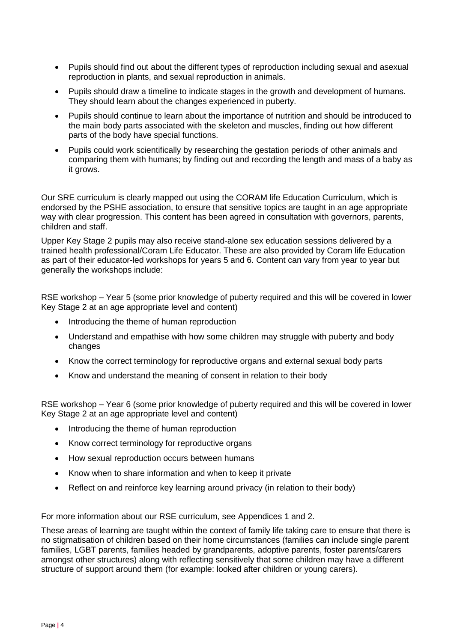- Pupils should find out about the different types of reproduction including sexual and asexual reproduction in plants, and sexual reproduction in animals.
- Pupils should draw a timeline to indicate stages in the growth and development of humans. They should learn about the changes experienced in puberty.
- Pupils should continue to learn about the importance of nutrition and should be introduced to the main body parts associated with the skeleton and muscles, finding out how different parts of the body have special functions.
- Pupils could work scientifically by researching the gestation periods of other animals and comparing them with humans; by finding out and recording the length and mass of a baby as it grows.

Our SRE curriculum is clearly mapped out using the CORAM life Education Curriculum, which is endorsed by the PSHE association, to ensure that sensitive topics are taught in an age appropriate way with clear progression. This content has been agreed in consultation with governors, parents, children and staff.

Upper Key Stage 2 pupils may also receive stand-alone sex education sessions delivered by a trained health professional/Coram Life Educator. These are also provided by Coram life Education as part of their educator-led workshops for years 5 and 6. Content can vary from year to year but generally the workshops include:

RSE workshop – Year 5 (some prior knowledge of puberty required and this will be covered in lower Key Stage 2 at an age appropriate level and content)

- Introducing the theme of human reproduction
- Understand and empathise with how some children may struggle with puberty and body changes
- Know the correct terminology for reproductive organs and external sexual body parts
- Know and understand the meaning of consent in relation to their body

RSE workshop – Year 6 (some prior knowledge of puberty required and this will be covered in lower Key Stage 2 at an age appropriate level and content)

- Introducing the theme of human reproduction
- Know correct terminology for reproductive organs
- How sexual reproduction occurs between humans
- Know when to share information and when to keep it private
- Reflect on and reinforce key learning around privacy (in relation to their body)

For more information about our RSE curriculum, see Appendices 1 and 2.

These areas of learning are taught within the context of family life taking care to ensure that there is no stigmatisation of children based on their home circumstances (families can include single parent families, LGBT parents, families headed by grandparents, adoptive parents, foster parents/carers amongst other structures) along with reflecting sensitively that some children may have a different structure of support around them (for example: looked after children or young carers).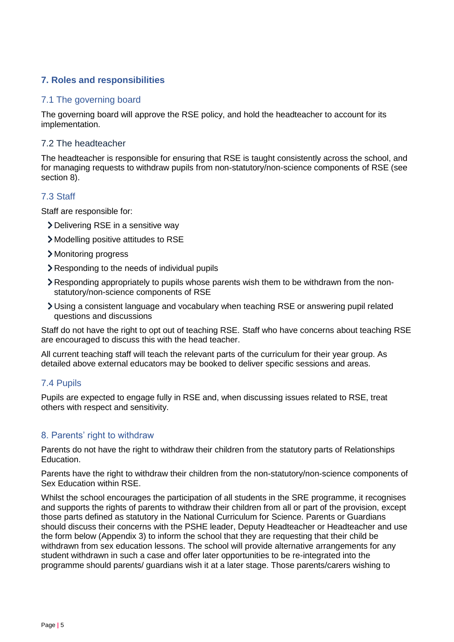# <span id="page-4-0"></span>**7. Roles and responsibilities**

### 7.1 The governing board

The governing board will approve the RSE policy, and hold the headteacher to account for its implementation.

# 7.2 The headteacher

The headteacher is responsible for ensuring that RSE is taught consistently across the school, and for managing requests to withdraw pupils from non-statutory/non-science components of RSE (see section 8).

# 7.3 Staff

Staff are responsible for:

- Delivering RSE in a sensitive way
- Modelling positive attitudes to RSE
- Monitoring progress
- Responding to the needs of individual pupils
- Responding appropriately to pupils whose parents wish them to be withdrawn from the nonstatutory/non-science components of RSE
- Using a consistent language and vocabulary when teaching RSE or answering pupil related questions and discussions

Staff do not have the right to opt out of teaching RSE. Staff who have concerns about teaching RSE are encouraged to discuss this with the head teacher.

All current teaching staff will teach the relevant parts of the curriculum for their year group. As detailed above external educators may be booked to deliver specific sessions and areas.

# 7.4 Pupils

Pupils are expected to engage fully in RSE and, when discussing issues related to RSE, treat others with respect and sensitivity.

#### <span id="page-4-1"></span>8. Parents' right to withdraw

Parents do not have the right to withdraw their children from the statutory parts of Relationships Education.

Parents have the right to withdraw their children from the non-statutory/non-science components of Sex Education within RSE.

Whilst the school encourages the participation of all students in the SRE programme, it recognises and supports the rights of parents to withdraw their children from all or part of the provision, except those parts defined as statutory in the National Curriculum for Science. Parents or Guardians should discuss their concerns with the PSHE leader, Deputy Headteacher or Headteacher and use the form below (Appendix 3) to inform the school that they are requesting that their child be withdrawn from sex education lessons. The school will provide alternative arrangements for any student withdrawn in such a case and offer later opportunities to be re-integrated into the programme should parents/ guardians wish it at a later stage. Those parents/carers wishing to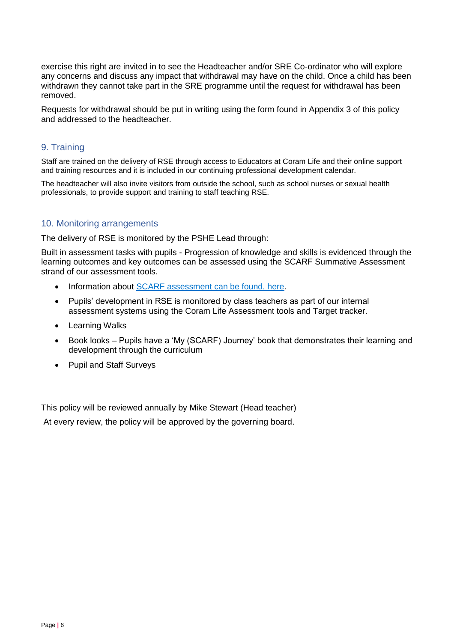exercise this right are invited in to see the Headteacher and/or SRE Co-ordinator who will explore any concerns and discuss any impact that withdrawal may have on the child. Once a child has been withdrawn they cannot take part in the SRE programme until the request for withdrawal has been removed.

Requests for withdrawal should be put in writing using the form found in Appendix 3 of this policy and addressed to the headteacher.

# <span id="page-5-0"></span>9. Training

Staff are trained on the delivery of RSE through access to Educators at Coram Life and their online support and training resources and it is included in our continuing professional development calendar.

The headteacher will also invite visitors from outside the school, such as school nurses or sexual health professionals, to provide support and training to staff teaching RSE.

# <span id="page-5-1"></span>10. Monitoring arrangements

The delivery of RSE is monitored by the PSHE Lead through:

Built in assessment tasks with pupils - Progression of knowledge and skills is evidenced through the learning outcomes and key outcomes can be assessed using the SCARF Summative Assessment strand of our assessment tools.

- Information about [SCARF assessment can be found, here.](https://www.coramlifeeducation.org.uk/scarf/assessment/)
- Pupils' development in RSE is monitored by class teachers as part of our internal assessment systems using the Coram Life Assessment tools and Target tracker.
- Learning Walks
- Book looks Pupils have a 'My (SCARF) Journey' book that demonstrates their learning and development through the curriculum
- Pupil and Staff Surveys

This policy will be reviewed annually by Mike Stewart (Head teacher)

At every review, the policy will be approved by the governing board.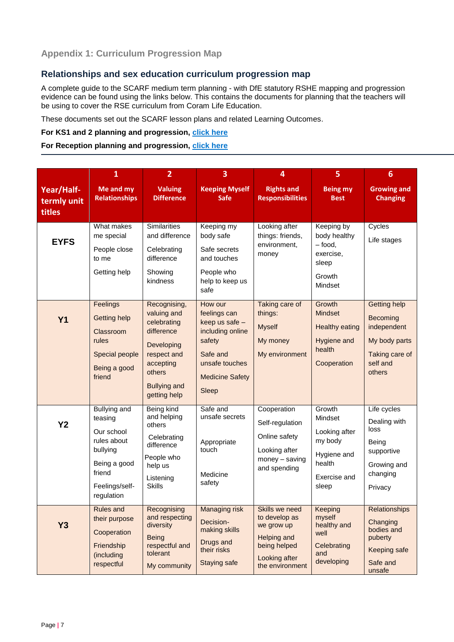# <span id="page-6-0"></span>**Relationships and sex education curriculum progression map**

A complete guide to the SCARF medium term planning - with DfE statutory RSHE mapping and progression evidence can be found using the links below. This contains the documents for planning that the teachers will be using to cover the RSE curriculum from Coram Life Education.

These documents set out the SCARF lesson plans and related Learning Outcomes.

#### **For KS1 and 2 planning and progression, [click here](https://www.coramlifeeducation.org.uk/scarf/lesson-plans/policy-and-planning)**

#### **For Reception planning and progression, [click here](https://www.coramlifeeducation.org.uk/scarf/lesson-plans/policy-and-planning)**

|                                     | $\mathbf{1}$                                                                                                                      | $\overline{2}$                                                                                                                                      | 3                                                                                                                                        | 4                                                                                                                       | 5                                                                                               | $6\phantom{1}$                                                                                          |
|-------------------------------------|-----------------------------------------------------------------------------------------------------------------------------------|-----------------------------------------------------------------------------------------------------------------------------------------------------|------------------------------------------------------------------------------------------------------------------------------------------|-------------------------------------------------------------------------------------------------------------------------|-------------------------------------------------------------------------------------------------|---------------------------------------------------------------------------------------------------------|
| Year/Half-<br>termly unit<br>titles | Me and my<br><b>Relationships</b>                                                                                                 | <b>Valuing</b><br><b>Difference</b>                                                                                                                 | <b>Keeping Myself</b><br><b>Safe</b>                                                                                                     | <b>Rights and</b><br><b>Responsibilities</b>                                                                            | <b>Being my</b><br><b>Best</b>                                                                  | <b>Growing and</b><br><b>Changing</b>                                                                   |
| <b>EYFS</b>                         | What makes<br>me special<br>People close<br>to me<br>Getting help                                                                 | <b>Similarities</b><br>and difference<br>Celebrating<br>difference<br>Showing<br>kindness                                                           | Keeping my<br>body safe<br>Safe secrets<br>and touches<br>People who<br>help to keep us<br>safe                                          | Looking after<br>things: friends,<br>environment,<br>money                                                              | Keeping by<br>body healthy<br>$-$ food,<br>exercise,<br>sleep<br>Growth<br>Mindset              | Cycles<br>Life stages                                                                                   |
| <b>Y1</b>                           | Feelings<br><b>Getting help</b><br>Classroom<br>rules<br>Special people<br>Being a good<br>friend                                 | Recognising,<br>valuing and<br>celebrating<br>difference<br>Developing<br>respect and<br>accepting<br>others<br><b>Bullying and</b><br>getting help | How our<br>feelings can<br>keep us safe -<br>including online<br>safety<br>Safe and<br>unsafe touches<br><b>Medicine Safety</b><br>Sleep | Taking care of<br>things:<br><b>Myself</b><br>My money<br>My environment                                                | Growth<br><b>Mindset</b><br><b>Healthy eating</b><br>Hygiene and<br>health<br>Cooperation       | <b>Getting help</b><br>Becoming<br>independent<br>My body parts<br>Taking care of<br>self and<br>others |
| <b>Y2</b>                           | <b>Bullying and</b><br>teasing<br>Our school<br>rules about<br>bullying<br>Being a good<br>friend<br>Feelings/self-<br>regulation | Being kind<br>and helping<br>others<br>Celebrating<br>difference<br>People who<br>help us<br>Listening<br><b>Skills</b>                             | Safe and<br>unsafe secrets<br>Appropriate<br>touch<br>Medicine<br>safety                                                                 | Cooperation<br>Self-regulation<br>Online safety<br>Looking after<br>money - saving<br>and spending                      | Growth<br>Mindset<br>Looking after<br>my body<br>Hygiene and<br>health<br>Exercise and<br>sleep | Life cycles<br>Dealing with<br>loss<br>Being<br>supportive<br>Growing and<br>changing<br>Privacy        |
| Y3                                  | <b>Rules and</b><br>their purpose<br>Cooperation<br>Friendship<br>(including<br>respectful                                        | Recognising<br>and respecting<br>diversity<br><b>Being</b><br>respectful and<br>tolerant<br>My community                                            | <b>Managing risk</b><br>Decision-<br>making skills<br>Drugs and<br>their risks<br>Staying safe                                           | Skills we need<br>to develop as<br>we grow up<br><b>Helping and</b><br>being helped<br>Looking after<br>the environment | Keeping<br>myself<br>healthy and<br>well<br>Celebrating<br>and<br>developing                    | Relationships<br>Changing<br>bodies and<br>puberty<br>Keeping safe<br>Safe and<br>unsafe                |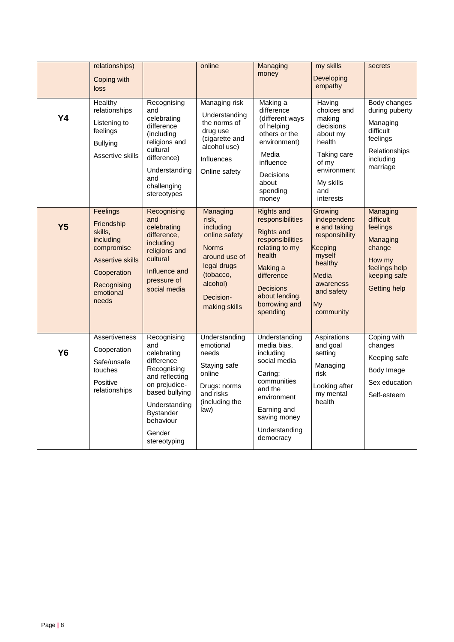|                | relationships)<br>Coping with<br>loss                                                                                                       |                                                                                                                                                                                                 | online                                                                                                                                                 | Managing<br>money                                                                                                                                                                                       | my skills<br>Developing<br>empathy                                                                                                              | secrets                                                                                                                   |
|----------------|---------------------------------------------------------------------------------------------------------------------------------------------|-------------------------------------------------------------------------------------------------------------------------------------------------------------------------------------------------|--------------------------------------------------------------------------------------------------------------------------------------------------------|---------------------------------------------------------------------------------------------------------------------------------------------------------------------------------------------------------|-------------------------------------------------------------------------------------------------------------------------------------------------|---------------------------------------------------------------------------------------------------------------------------|
| <b>Y4</b>      | Healthy<br>relationships<br>Listening to<br>feelings<br><b>Bullying</b><br>Assertive skills                                                 | Recognising<br>and<br>celebrating<br>difference<br>(including<br>religions and<br>cultural<br>difference)<br>Understanding<br>and<br>challenging<br>stereotypes                                 | Managing risk<br>Understanding<br>the norms of<br>drug use<br>(cigarette and<br>alcohol use)<br><b>Influences</b><br>Online safety                     | Making a<br>difference<br>(different ways<br>of helping<br>others or the<br>environment)<br>Media<br>influence<br>Decisions<br>about<br>spending<br>money                                               | Having<br>choices and<br>making<br>decisions<br>about my<br>health<br>Taking care<br>of my<br>environment<br>My skills<br>and<br>interests      | Body changes<br>during puberty<br>Managing<br>difficult<br>feelings<br>Relationships<br>including<br>marriage             |
| Y <sub>5</sub> | Feelings<br>Friendship<br>skills,<br>including<br>compromise<br><b>Assertive skills</b><br>Cooperation<br>Recognising<br>emotional<br>needs | Recognising<br>and<br>celebrating<br>difference,<br>including<br>religions and<br>cultural<br>Influence and<br>pressure of<br>social media                                                      | Managing<br>risk,<br>including<br>online safety<br><b>Norms</b><br>around use of<br>legal drugs<br>(tobacco,<br>alcohol)<br>Decision-<br>making skills | <b>Rights and</b><br>responsibilities<br><b>Rights and</b><br>responsibilities<br>relating to my<br>health<br>Making a<br>difference<br><b>Decisions</b><br>about lending,<br>borrowing and<br>spending | Growing<br>independenc<br>e and taking<br>responsibility<br>Keeping<br>myself<br>healthy<br>Media<br>awareness<br>and safety<br>My<br>community | Managing<br>difficult<br>feelings<br>Managing<br>change<br>How my<br>feelings help<br>keeping safe<br><b>Getting help</b> |
| <b>Y6</b>      | Assertiveness<br>Cooperation<br>Safe/unsafe<br>touches<br>Positive<br>relationships                                                         | Recognising<br>and<br>celebrating<br>difference<br>Recognising<br>and reflecting<br>on prejudice-<br>based bullying<br>Understanding<br><b>Bystander</b><br>behaviour<br>Gender<br>stereotyping | Understanding<br>emotional<br>needs<br>Staying safe<br>online<br>Drugs: norms<br>and risks<br>(including the<br>law)                                   | Understanding<br>media bias,<br>including<br>social media<br>Caring:<br>communities<br>and the<br>environment<br>Earning and<br>saving money<br>Understanding<br>democracy                              | Aspirations<br>and goal<br>setting<br>Managing<br>risk<br>Looking after<br>my mental<br>health                                                  | Coping with<br>changes<br>Keeping safe<br>Body Image<br>Sex education<br>Self-esteem                                      |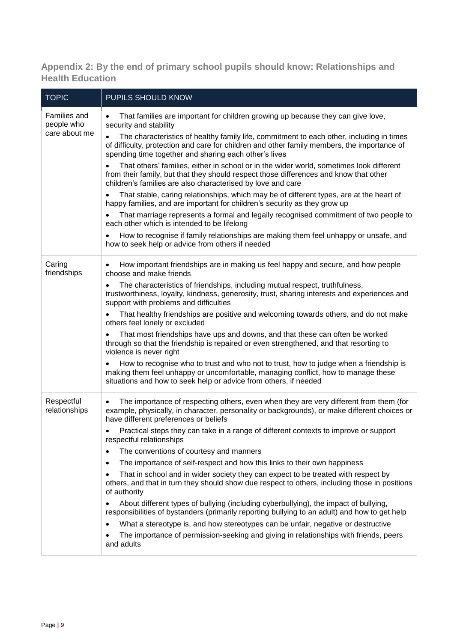<span id="page-8-0"></span>**Appendix 2: By the end of primary school pupils should know: Relationships and Health Education**

| <b>TOPIC</b>                      | PUPILS SHOULD KNOW                                                                                                                                                                                                                                            |  |  |
|-----------------------------------|---------------------------------------------------------------------------------------------------------------------------------------------------------------------------------------------------------------------------------------------------------------|--|--|
| <b>Families and</b><br>people who | That families are important for children growing up because they can give love,<br>security and stability                                                                                                                                                     |  |  |
| care about me                     | The characteristics of healthy family life, commitment to each other, including in times<br>$\bullet$<br>of difficulty, protection and care for children and other family members, the importance of<br>spending time together and sharing each other's lives |  |  |
|                                   | That others' families, either in school or in the wider world, sometimes look different<br>from their family, but that they should respect those differences and know that other<br>children's families are also characterised by love and care               |  |  |
|                                   | That stable, caring relationships, which may be of different types, are at the heart of<br>happy families, and are important for children's security as they grow up                                                                                          |  |  |
|                                   | That marriage represents a formal and legally recognised commitment of two people to<br>each other which is intended to be lifelong                                                                                                                           |  |  |
|                                   | How to recognise if family relationships are making them feel unhappy or unsafe, and<br>٠<br>how to seek help or advice from others if needed                                                                                                                 |  |  |
| Caring<br>friendships             | How important friendships are in making us feel happy and secure, and how people<br>choose and make friends                                                                                                                                                   |  |  |
|                                   | The characteristics of friendships, including mutual respect, truthfulness,<br>trustworthiness, loyalty, kindness, generosity, trust, sharing interests and experiences and<br>support with problems and difficulties                                         |  |  |
|                                   | That healthy friendships are positive and welcoming towards others, and do not make<br>others feel lonely or excluded                                                                                                                                         |  |  |
|                                   | That most friendships have ups and downs, and that these can often be worked<br>through so that the friendship is repaired or even strengthened, and that resorting to<br>violence is never right                                                             |  |  |
|                                   | How to recognise who to trust and who not to trust, how to judge when a friendship is<br>making them feel unhappy or uncomfortable, managing conflict, how to manage these<br>situations and how to seek help or advice from others, if needed                |  |  |
| Respectful<br>relationships       | The importance of respecting others, even when they are very different from them (for<br>example, physically, in character, personality or backgrounds), or make different choices or<br>have different preferences or beliefs                                |  |  |
|                                   | Practical steps they can take in a range of different contexts to improve or support<br>respectful relationships                                                                                                                                              |  |  |
|                                   | The conventions of courtesy and manners<br>$\bullet$                                                                                                                                                                                                          |  |  |
|                                   | The importance of self-respect and how this links to their own happiness<br>$\bullet$                                                                                                                                                                         |  |  |
|                                   | That in school and in wider society they can expect to be treated with respect by<br>$\bullet$<br>others, and that in turn they should show due respect to others, including those in positions<br>of authority                                               |  |  |
|                                   | About different types of bullying (including cyberbullying), the impact of bullying,<br>responsibilities of bystanders (primarily reporting bullying to an adult) and how to get help                                                                         |  |  |
|                                   | What a stereotype is, and how stereotypes can be unfair, negative or destructive<br>$\bullet$                                                                                                                                                                 |  |  |
|                                   | The importance of permission-seeking and giving in relationships with friends, peers<br>and adults                                                                                                                                                            |  |  |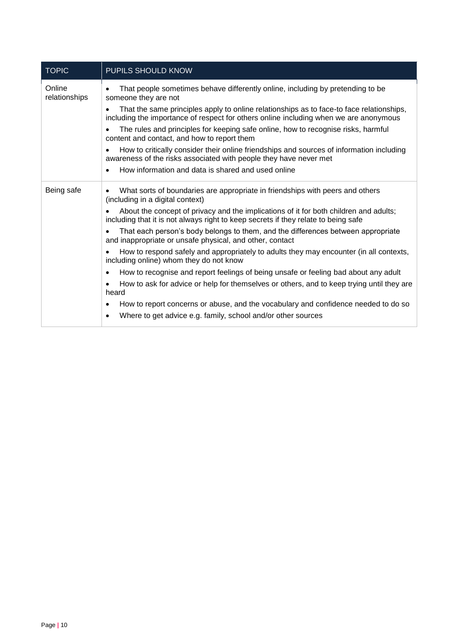| <b>TOPIC</b>            | PUPILS SHOULD KNOW                                                                                                                                                                |  |  |  |
|-------------------------|-----------------------------------------------------------------------------------------------------------------------------------------------------------------------------------|--|--|--|
| Online<br>relationships | That people sometimes behave differently online, including by pretending to be<br>someone they are not                                                                            |  |  |  |
|                         | That the same principles apply to online relationships as to face-to face relationships,<br>including the importance of respect for others online including when we are anonymous |  |  |  |
|                         | The rules and principles for keeping safe online, how to recognise risks, harmful<br>content and contact, and how to report them                                                  |  |  |  |
|                         | How to critically consider their online friendships and sources of information including<br>awareness of the risks associated with people they have never met                     |  |  |  |
|                         | How information and data is shared and used online<br>$\bullet$                                                                                                                   |  |  |  |
| Being safe              | What sorts of boundaries are appropriate in friendships with peers and others<br>$\bullet$<br>(including in a digital context)                                                    |  |  |  |
|                         | About the concept of privacy and the implications of it for both children and adults;<br>including that it is not always right to keep secrets if they relate to being safe       |  |  |  |
|                         | That each person's body belongs to them, and the differences between appropriate<br>and inappropriate or unsafe physical, and other, contact                                      |  |  |  |
|                         | How to respond safely and appropriately to adults they may encounter (in all contexts,<br>including online) whom they do not know                                                 |  |  |  |
|                         | How to recognise and report feelings of being unsafe or feeling bad about any adult<br>$\bullet$                                                                                  |  |  |  |
|                         | How to ask for advice or help for themselves or others, and to keep trying until they are<br>$\bullet$<br>heard                                                                   |  |  |  |
|                         | How to report concerns or abuse, and the vocabulary and confidence needed to do so<br>$\bullet$                                                                                   |  |  |  |
|                         | Where to get advice e.g. family, school and/or other sources<br>$\bullet$                                                                                                         |  |  |  |